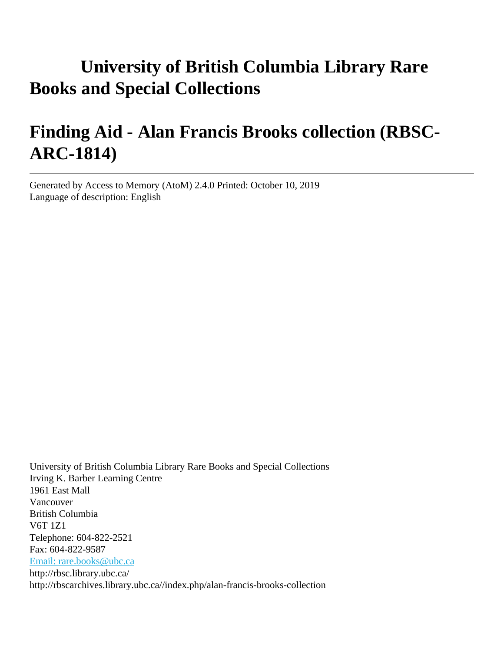# **University of British Columbia Library Rare Books and Special Collections**

# **Finding Aid - Alan Francis Brooks collection (RBSC-ARC-1814)**

Generated by Access to Memory (AtoM) 2.4.0 Printed: October 10, 2019 Language of description: English

University of British Columbia Library Rare Books and Special Collections Irving K. Barber Learning Centre 1961 East Mall Vancouver British Columbia V6T 1Z1 Telephone: 604-822-2521 Fax: 604-822-9587 [Email: rare.books@ubc.ca](mailto:Email: rare.books@ubc.ca) http://rbsc.library.ubc.ca/ http://rbscarchives.library.ubc.ca//index.php/alan-francis-brooks-collection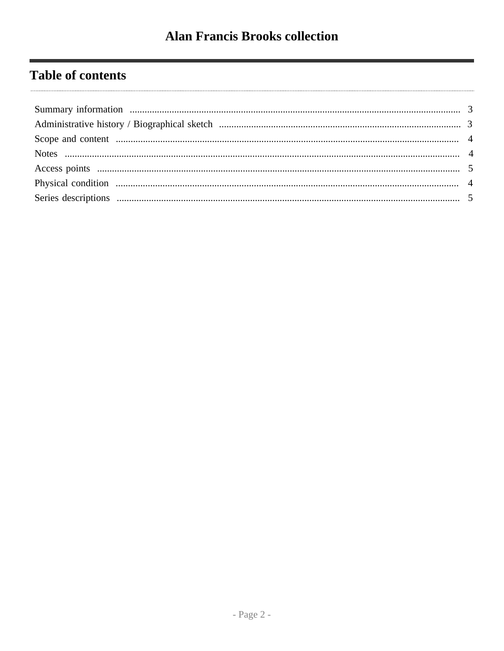## **Table of contents**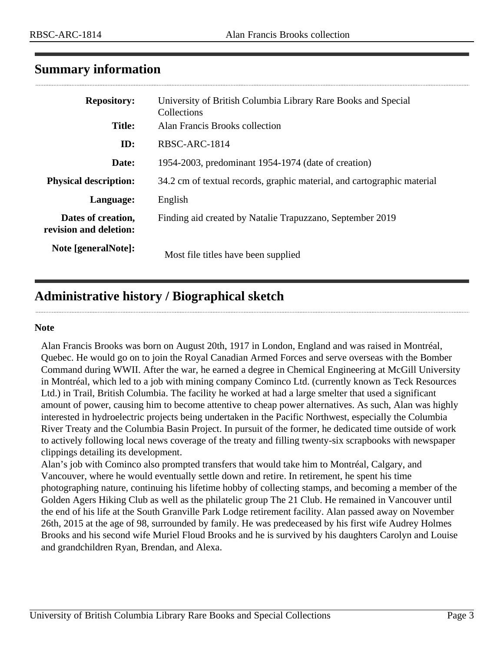### <span id="page-2-0"></span>**Summary information**

| <b>Repository:</b>                           | University of British Columbia Library Rare Books and Special<br>Collections |
|----------------------------------------------|------------------------------------------------------------------------------|
| Title:                                       | Alan Francis Brooks collection                                               |
| ID:                                          | RBSC-ARC-1814                                                                |
| Date:                                        | 1954-2003, predominant 1954-1974 (date of creation)                          |
| <b>Physical description:</b>                 | 34.2 cm of textual records, graphic material, and cartographic material      |
| Language:                                    | English                                                                      |
| Dates of creation,<br>revision and deletion: | Finding aid created by Natalie Trapuzzano, September 2019                    |
| Note [generalNote]:                          | Most file titles have been supplied                                          |

## <span id="page-2-1"></span>**Administrative history / Biographical sketch**

#### **Note**

Alan Francis Brooks was born on August 20th, 1917 in London, England and was raised in Montréal, Quebec. He would go on to join the Royal Canadian Armed Forces and serve overseas with the Bomber Command during WWII. After the war, he earned a degree in Chemical Engineering at McGill University in Montréal, which led to a job with mining company Cominco Ltd. (currently known as Teck Resources Ltd.) in Trail, British Columbia. The facility he worked at had a large smelter that used a significant amount of power, causing him to become attentive to cheap power alternatives. As such, Alan was highly interested in hydroelectric projects being undertaken in the Pacific Northwest, especially the Columbia River Treaty and the Columbia Basin Project. In pursuit of the former, he dedicated time outside of work to actively following local news coverage of the treaty and filling twenty-six scrapbooks with newspaper clippings detailing its development.

Alan's job with Cominco also prompted transfers that would take him to Montréal, Calgary, and Vancouver, where he would eventually settle down and retire. In retirement, he spent his time photographing nature, continuing his lifetime hobby of collecting stamps, and becoming a member of the Golden Agers Hiking Club as well as the philatelic group The 21 Club. He remained in Vancouver until the end of his life at the South Granville Park Lodge retirement facility. Alan passed away on November 26th, 2015 at the age of 98, surrounded by family. He was predeceased by his first wife Audrey Holmes Brooks and his second wife Muriel Floud Brooks and he is survived by his daughters Carolyn and Louise and grandchildren Ryan, Brendan, and Alexa.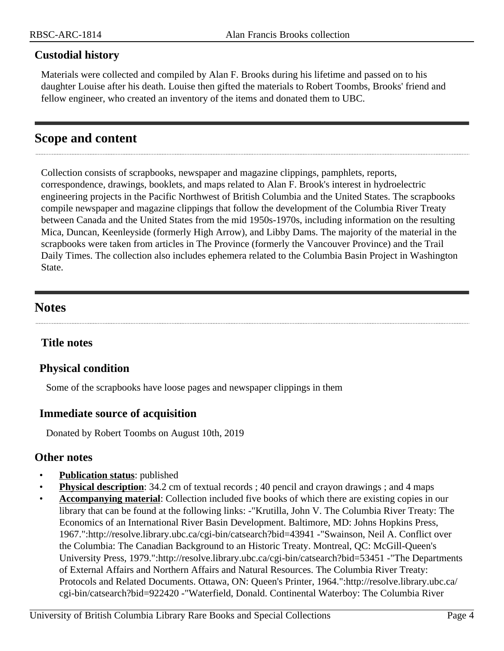#### **Custodial history**

Materials were collected and compiled by Alan F. Brooks during his lifetime and passed on to his daughter Louise after his death. Louise then gifted the materials to Robert Toombs, Brooks' friend and fellow engineer, who created an inventory of the items and donated them to UBC.

## <span id="page-3-0"></span>**Scope and content**

Collection consists of scrapbooks, newspaper and magazine clippings, pamphlets, reports, correspondence, drawings, booklets, and maps related to Alan F. Brook's interest in hydroelectric engineering projects in the Pacific Northwest of British Columbia and the United States. The scrapbooks compile newspaper and magazine clippings that follow the development of the Columbia River Treaty between Canada and the United States from the mid 1950s-1970s, including information on the resulting Mica, Duncan, Keenleyside (formerly High Arrow), and Libby Dams. The majority of the material in the scrapbooks were taken from articles in The Province (formerly the Vancouver Province) and the Trail Daily Times. The collection also includes ephemera related to the Columbia Basin Project in Washington State.

## <span id="page-3-1"></span>**Notes**

### **Title notes**

### <span id="page-3-2"></span>**Physical condition**

Some of the scrapbooks have loose pages and newspaper clippings in them

### **Immediate source of acquisition**

Donated by Robert Toombs on August 10th, 2019

#### **Other notes**

- **Publication status**: published
- **Physical description**: 34.2 cm of textual records ; 40 pencil and crayon drawings ; and 4 maps
- **Accompanying material**: Collection included five books of which there are existing copies in our library that can be found at the following links: -"Krutilla, John V. The Columbia River Treaty: The Economics of an International River Basin Development. Baltimore, MD: Johns Hopkins Press, 1967.":http://resolve.library.ubc.ca/cgi-bin/catsearch?bid=43941 -"Swainson, Neil A. Conflict over the Columbia: The Canadian Background to an Historic Treaty. Montreal, QC: McGill-Queen's University Press, 1979.":http://resolve.library.ubc.ca/cgi-bin/catsearch?bid=53451 -"The Departments of External Affairs and Northern Affairs and Natural Resources. The Columbia River Treaty: Protocols and Related Documents. Ottawa, ON: Queen's Printer, 1964.":http://resolve.library.ubc.ca/ cgi-bin/catsearch?bid=922420 -"Waterfield, Donald. Continental Waterboy: The Columbia River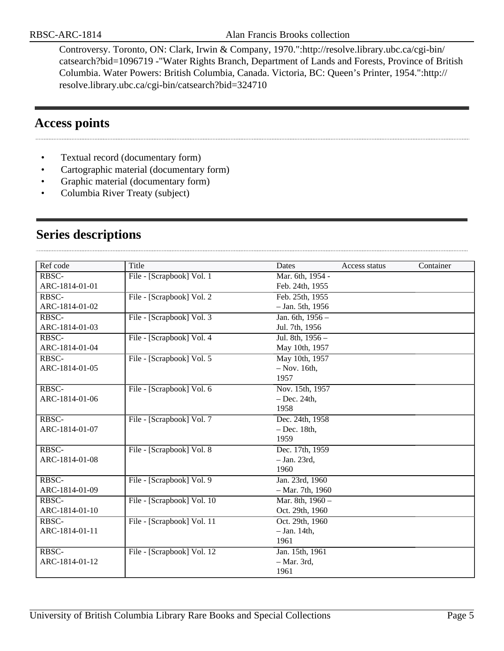Controversy. Toronto, ON: Clark, Irwin & Company, 1970.":http://resolve.library.ubc.ca/cgi-bin/ catsearch?bid=1096719 -"Water Rights Branch, Department of Lands and Forests, Province of British Columbia. Water Powers: British Columbia, Canada. Victoria, BC: Queen's Printer, 1954.":http:// resolve.library.ubc.ca/cgi-bin/catsearch?bid=324710

## <span id="page-4-0"></span>**Access points**

- Textual record (documentary form)
- Cartographic material (documentary form)
- Graphic material (documentary form)
- Columbia River Treaty (subject)

| Ref code       | Title                      | Dates              | Access status | Container |
|----------------|----------------------------|--------------------|---------------|-----------|
| RBSC-          | File - [Scrapbook] Vol. 1  | Mar. 6th, 1954 -   |               |           |
| ARC-1814-01-01 |                            | Feb. 24th, 1955    |               |           |
| RBSC-          | File - [Scrapbook] Vol. 2  | Feb. 25th, 1955    |               |           |
| ARC-1814-01-02 |                            | $-$ Jan. 5th, 1956 |               |           |
| RBSC-          | File - [Scrapbook] Vol. 3  | Jan. 6th, 1956 -   |               |           |
| ARC-1814-01-03 |                            | Jul. 7th, 1956     |               |           |
| RBSC-          | File - [Scrapbook] Vol. 4  | Jul. 8th, 1956 -   |               |           |
| ARC-1814-01-04 |                            | May 10th, 1957     |               |           |
| RBSC-          | File - [Scrapbook] Vol. 5  | May 10th, 1957     |               |           |
| ARC-1814-01-05 |                            | $-$ Nov. 16th,     |               |           |
|                |                            | 1957               |               |           |
| RBSC-          | File - [Scrapbook] Vol. 6  | Nov. 15th, 1957    |               |           |
| ARC-1814-01-06 |                            | $-$ Dec. 24th,     |               |           |
|                |                            | 1958               |               |           |
| RBSC-          | File - [Scrapbook] Vol. 7  | Dec. 24th, 1958    |               |           |
| ARC-1814-01-07 |                            | $-$ Dec. 18th,     |               |           |
|                |                            | 1959               |               |           |
| RBSC-          | File - [Scrapbook] Vol. 8  | Dec. 17th, 1959    |               |           |
| ARC-1814-01-08 |                            | $-$ Jan. 23rd,     |               |           |
|                |                            | 1960               |               |           |
| RBSC-          | File - [Scrapbook] Vol. 9  | Jan. 23rd, 1960    |               |           |
| ARC-1814-01-09 |                            | $-$ Mar. 7th, 1960 |               |           |
| RBSC-          | File - [Scrapbook] Vol. 10 | Mar. 8th, 1960 -   |               |           |
| ARC-1814-01-10 |                            | Oct. 29th, 1960    |               |           |
| RBSC-          | File - [Scrapbook] Vol. 11 | Oct. 29th, 1960    |               |           |
| ARC-1814-01-11 |                            | $-$ Jan. 14th,     |               |           |
|                |                            | 1961               |               |           |
| RBSC-          | File - [Scrapbook] Vol. 12 | Jan. 15th, 1961    |               |           |
| ARC-1814-01-12 |                            | $-$ Mar. 3rd,      |               |           |
|                |                            | 1961               |               |           |

## <span id="page-4-1"></span>**Series descriptions**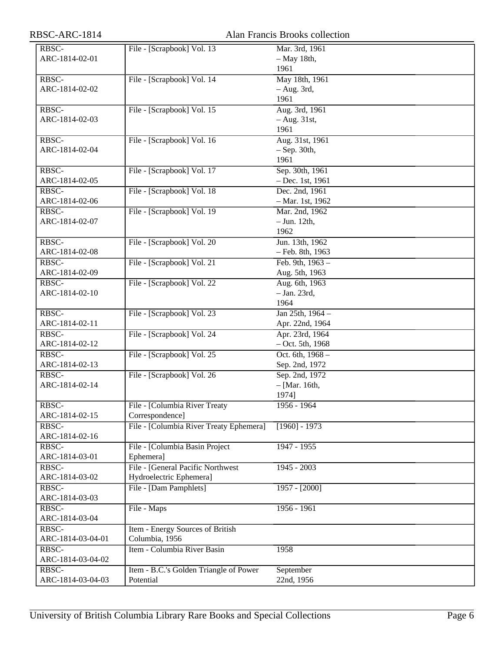| RBSC-ARC-1814     |                                         | Alan Francis Brooks collection |
|-------------------|-----------------------------------------|--------------------------------|
| RBSC-             | File - [Scrapbook] Vol. 13              | Mar. 3rd, 1961                 |
| ARC-1814-02-01    |                                         | $-$ May 18th,                  |
|                   |                                         | 1961                           |
| RBSC-             | File - [Scrapbook] Vol. 14              | May 18th, 1961                 |
| ARC-1814-02-02    |                                         | $-$ Aug. 3rd,                  |
|                   |                                         | 1961                           |
| RBSC-             | File - [Scrapbook] Vol. 15              | Aug. 3rd, 1961                 |
| ARC-1814-02-03    |                                         | $-$ Aug. 31st,                 |
|                   |                                         | 1961                           |
| RBSC-             | File - [Scrapbook] Vol. 16              | Aug. 31st, 1961                |
| ARC-1814-02-04    |                                         | $-$ Sep. 30th,                 |
|                   |                                         | 1961                           |
| RBSC-             | File - [Scrapbook] Vol. 17              | Sep. 30th, 1961                |
| ARC-1814-02-05    |                                         | $-$ Dec. 1st, 1961             |
| RBSC-             | File - [Scrapbook] Vol. 18              | Dec. 2nd, 1961                 |
| ARC-1814-02-06    |                                         | $-$ Mar. 1st, 1962             |
| RBSC-             | File - [Scrapbook] Vol. 19              | Mar. 2nd, 1962                 |
| ARC-1814-02-07    |                                         | $-$ Jun. 12th,                 |
|                   |                                         | 1962                           |
| RBSC-             | File - [Scrapbook] Vol. 20              | Jun. 13th, 1962                |
| ARC-1814-02-08    |                                         | - Feb. 8th, 1963               |
| RBSC-             | File - [Scrapbook] Vol. 21              | Feb. 9th, $1963 -$             |
| ARC-1814-02-09    |                                         | Aug. 5th, 1963                 |
| RBSC-             | File - [Scrapbook] Vol. 22              | Aug. 6th, 1963                 |
| ARC-1814-02-10    |                                         | $-$ Jan. 23rd,                 |
|                   |                                         | 1964                           |
| RBSC-             | File - [Scrapbook] Vol. 23              | Jan 25th, 1964 -               |
| ARC-1814-02-11    |                                         | Apr. 22nd, 1964                |
| RBSC-             | File - [Scrapbook] Vol. 24              | Apr. 23rd, 1964                |
| ARC-1814-02-12    |                                         | $-$ Oct. 5th, 1968             |
| RBSC-             | File - [Scrapbook] Vol. 25              | Oct. 6th, 1968 -               |
| ARC-1814-02-13    |                                         | Sep. 2nd, 1972                 |
| RBSC-             | File - [Scrapbook] Vol. 26              | Sep. 2nd, 1972                 |
| ARC-1814-02-14    |                                         | $-[Mar. 16th,$                 |
|                   |                                         | 1974]                          |
| RBSC-             | File - [Columbia River Treaty           | $1956 - 1964$                  |
| ARC-1814-02-15    | Correspondence]                         |                                |
| RBSC-             | File - [Columbia River Treaty Ephemera] | $[1960] - 1973$                |
| ARC-1814-02-16    |                                         |                                |
| RBSC-             | File - [Columbia Basin Project          | 1947 - 1955                    |
| ARC-1814-03-01    | Ephemera]                               |                                |
| RBSC-             | File - [General Pacific Northwest]      | $1945 - 2003$                  |
| ARC-1814-03-02    | Hydroelectric Ephemera]                 |                                |
| RBSC-             | File - [Dam Pamphlets]                  | $1957 - [2000]$                |
| ARC-1814-03-03    |                                         |                                |
| RBSC-             | File - Maps                             | $1956 - 1961$                  |
| ARC-1814-03-04    |                                         |                                |
| RBSC-             | Item - Energy Sources of British        |                                |
| ARC-1814-03-04-01 | Columbia, 1956                          |                                |
| RBSC-             | Item - Columbia River Basin             | 1958                           |
| ARC-1814-03-04-02 |                                         |                                |
| RBSC-             | Item - B.C.'s Golden Triangle of Power  | September                      |
| ARC-1814-03-04-03 | Potential                               | 22nd, 1956                     |
|                   |                                         |                                |